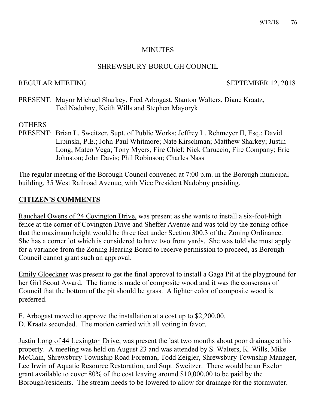#### MINUTES

#### SHREWSBURY BOROUGH COUNCIL

REGULAR MEETING SEPTEMBER 12, 2018

PRESENT: Mayor Michael Sharkey, Fred Arbogast, Stanton Walters, Diane Kraatz, Ted Nadobny, Keith Wills and Stephen Mayoryk

### **OTHERS**

PRESENT: Brian L. Sweitzer, Supt. of Public Works; Jeffrey L. Rehmeyer II, Esq.; David Lipinski, P.E.; John-Paul Whitmore; Nate Kirschman; Matthew Sharkey; Justin Long; Mateo Vega; Tony Myers, Fire Chief; Nick Caruccio, Fire Company; Eric Johnston; John Davis; Phil Robinson; Charles Nass

The regular meeting of the Borough Council convened at 7:00 p.m. in the Borough municipal building, 35 West Railroad Avenue, with Vice President Nadobny presiding.

### **CITIZEN'S COMMENTS**

Rauchael Owens of 24 Covington Drive, was present as she wants to install a six-foot-high fence at the corner of Covington Drive and Sheffer Avenue and was told by the zoning office that the maximum height would be three feet under Section 300.3 of the Zoning Ordinance. She has a corner lot which is considered to have two front yards. She was told she must apply for a variance from the Zoning Hearing Board to receive permission to proceed, as Borough Council cannot grant such an approval.

Emily Gloeckner was present to get the final approval to install a Gaga Pit at the playground for her Girl Scout Award. The frame is made of composite wood and it was the consensus of Council that the bottom of the pit should be grass. A lighter color of composite wood is preferred.

- F. Arbogast moved to approve the installation at a cost up to \$2,200.00.
- D. Kraatz seconded. The motion carried with all voting in favor.

Justin Long of 44 Lexington Drive, was present the last two months about poor drainage at his property. A meeting was held on August 23 and was attended by S. Walters, K. Wills, Mike McClain, Shrewsbury Township Road Foreman, Todd Zeigler, Shrewsbury Township Manager, Lee Irwin of Aquatic Resource Restoration, and Supt. Sweitzer. There would be an Exelon grant available to cover 80% of the cost leaving around \$10,000.00 to be paid by the Borough/residents. The stream needs to be lowered to allow for drainage for the stormwater.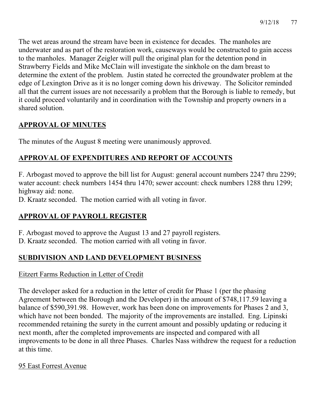The wet areas around the stream have been in existence for decades. The manholes are underwater and as part of the restoration work, causeways would be constructed to gain access to the manholes. Manager Zeigler will pull the original plan for the detention pond in Strawberry Fields and Mike McClain will investigate the sinkhole on the dam breast to determine the extent of the problem. Justin stated he corrected the groundwater problem at the edge of Lexington Drive as it is no longer coming down his driveway. The Solicitor reminded all that the current issues are not necessarily a problem that the Borough is liable to remedy, but it could proceed voluntarily and in coordination with the Township and property owners in a shared solution.

# **APPROVAL OF MINUTES**

The minutes of the August 8 meeting were unanimously approved.

# **APPROVAL OF EXPENDITURES AND REPORT OF ACCOUNTS**

F. Arbogast moved to approve the bill list for August: general account numbers 2247 thru 2299; water account: check numbers 1454 thru 1470; sewer account: check numbers 1288 thru 1299; highway aid: none.

D. Kraatz seconded. The motion carried with all voting in favor.

# **APPROVAL OF PAYROLL REGISTER**

F. Arbogast moved to approve the August 13 and 27 payroll registers.

D. Kraatz seconded. The motion carried with all voting in favor.

# **SUBDIVISION AND LAND DEVELOPMENT BUSINESS**

# Eitzert Farms Reduction in Letter of Credit

The developer asked for a reduction in the letter of credit for Phase 1 (per the phasing Agreement between the Borough and the Developer) in the amount of \$748,117.59 leaving a balance of \$590,391.98. However, work has been done on improvements for Phases 2 and 3, which have not been bonded. The majority of the improvements are installed. Eng. Lipinski recommended retaining the surety in the current amount and possibly updating or reducing it next month, after the completed improvements are inspected and compared with all improvements to be done in all three Phases. Charles Nass withdrew the request for a reduction at this time.

# 95 East Forrest Avenue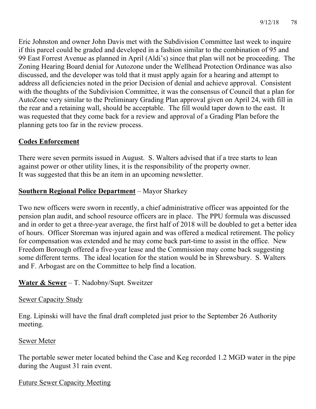Eric Johnston and owner John Davis met with the Subdivision Committee last week to inquire if this parcel could be graded and developed in a fashion similar to the combination of 95 and 99 East Forrest Avenue as planned in April (Aldi's) since that plan will not be proceeding. The Zoning Hearing Board denial for Autozone under the Wellhead Protection Ordinance was also discussed, and the developer was told that it must apply again for a hearing and attempt to address all deficiencies noted in the prior Decision of denial and achieve approval. Consistent with the thoughts of the Subdivision Committee, it was the consensus of Council that a plan for AutoZone very similar to the Preliminary Grading Plan approval given on April 24, with fill in the rear and a retaining wall, should be acceptable. The fill would taper down to the east. It was requested that they come back for a review and approval of a Grading Plan before the planning gets too far in the review process.

# **Codes Enforcement**

There were seven permits issued in August. S. Walters advised that if a tree starts to lean against power or other utility lines, it is the responsibility of the property owner. It was suggested that this be an item in an upcoming newsletter.

# **Southern Regional Police Department** – Mayor Sharkey

Two new officers were sworn in recently, a chief administrative officer was appointed for the pension plan audit, and school resource officers are in place. The PPU formula was discussed and in order to get a three-year average, the first half of 2018 will be doubled to get a better idea of hours. Officer Storeman was injured again and was offered a medical retirement. The policy for compensation was extended and he may come back part-time to assist in the office. New Freedom Borough offered a five-year lease and the Commission may come back suggesting some different terms. The ideal location for the station would be in Shrewsbury. S. Walters and F. Arbogast are on the Committee to help find a location.

# **Water & Sewer** – T. Nadobny/Supt. Sweitzer

#### Sewer Capacity Study

Eng. Lipinski will have the final draft completed just prior to the September 26 Authority meeting.

#### Sewer Meter

The portable sewer meter located behind the Case and Keg recorded 1.2 MGD water in the pipe during the August 31 rain event.

#### Future Sewer Capacity Meeting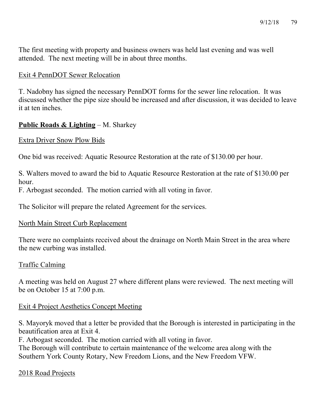The first meeting with property and business owners was held last evening and was well attended. The next meeting will be in about three months.

#### Exit 4 PennDOT Sewer Relocation

T. Nadobny has signed the necessary PennDOT forms for the sewer line relocation. It was discussed whether the pipe size should be increased and after discussion, it was decided to leave it at ten inches.

# **Public Roads & Lighting** – M. Sharkey

#### Extra Driver Snow Plow Bids

One bid was received: Aquatic Resource Restoration at the rate of \$130.00 per hour.

S. Walters moved to award the bid to Aquatic Resource Restoration at the rate of \$130.00 per hour.

F. Arbogast seconded. The motion carried with all voting in favor.

The Solicitor will prepare the related Agreement for the services.

#### North Main Street Curb Replacement

There were no complaints received about the drainage on North Main Street in the area where the new curbing was installed.

#### Traffic Calming

A meeting was held on August 27 where different plans were reviewed. The next meeting will be on October 15 at 7:00 p.m.

# Exit 4 Project Aesthetics Concept Meeting

S. Mayoryk moved that a letter be provided that the Borough is interested in participating in the beautification area at Exit 4.

F. Arbogast seconded. The motion carried with all voting in favor.

The Borough will contribute to certain maintenance of the welcome area along with the Southern York County Rotary, New Freedom Lions, and the New Freedom VFW.

# 2018 Road Projects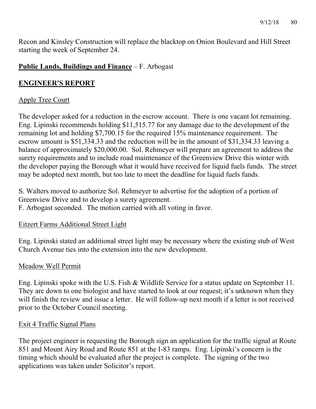Recon and Kinsley Construction will replace the blacktop on Onion Boulevard and Hill Street starting the week of September 24.

# **Public Lands, Buildings and Finance** – F. Arbogast

# **ENGINEER'S REPORT**

# Apple Tree Court

The developer asked for a reduction in the escrow account. There is one vacant lot remaining. Eng. Lipinski recommends holding \$11,515.77 for any damage due to the development of the remaining lot and holding \$7,700.15 for the required 15% maintenance requirement. The escrow amount is \$51,334.33 and the reduction will be in the amount of \$31,334.33 leaving a balance of approximately \$20,000.00. Sol. Rehmeyer will prepare an agreement to address the surety requirements and to include road maintenance of the Greenview Drive this winter with the developer paying the Borough what it would have received for liquid fuels funds. The street may be adopted next month, but too late to meet the deadline for liquid fuels funds.

S. Walters moved to authorize Sol. Rehmeyer to advertise for the adoption of a portion of Greenview Drive and to develop a surety agreement.

F. Arbogast seconded. The motion carried with all voting in favor.

#### Eitzert Farms Additional Street Light

Eng. Lipinski stated an additional street light may be necessary where the existing stub of West Church Avenue ties into the extension into the new development.

#### Meadow Well Permit

Eng. Lipinski spoke with the U.S. Fish & Wildlife Service for a status update on September 11. They are down to one biologist and have started to look at our request; it's unknown when they will finish the review and issue a letter. He will follow-up next month if a letter is not received prior to the October Council meeting.

#### Exit 4 Traffic Signal Plans

The project engineer is requesting the Borough sign an application for the traffic signal at Route 851 and Mount Airy Road and Route 851 at the I-83 ramps. Eng. Lipinski's concern is the timing which should be evaluated after the project is complete. The signing of the two applications was taken under Solicitor's report.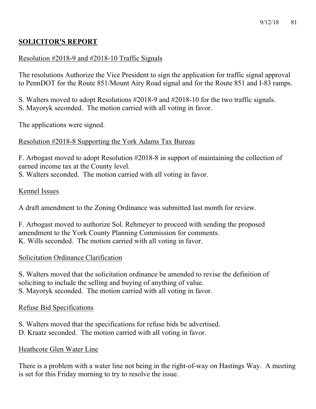# **SOLICITOR'S REPORT**

# Resolution #2018-9 and #2018-10 Traffic Signals

The resolutions Authorize the Vice President to sign the application for traffic signal approval to PennDOT for the Route 851/Mount Airy Road signal and for the Route 851 and I-83 ramps.

S. Walters moved to adopt Resolutions #2018-9 and #2018-10 for the two traffic signals.

S. Mayoryk seconded. The motion carried with all voting in favor.

The applications were signed.

# Resolution #2018-8 Supporting the York Adams Tax Bureau

F. Arbogast moved to adopt Resolution #2018-8 in support of maintaining the collection of earned income tax at the County level.

S. Walters seconded. The motion carried with all voting in favor.

# Kennel Issues

A draft amendment to the Zoning Ordinance was submitted last month for review.

F. Arbogast moved to authorize Sol. Rehmeyer to proceed with sending the proposed amendment to the York County Planning Commission for comments. K. Wills seconded. The motion carried with all voting in favor.

# Solicitation Ordinance Clarification

S. Walters moved that the solicitation ordinance be amended to revise the definition of soliciting to include the selling and buying of anything of value. S. Mayoryk seconded. The motion carried with all voting in favor.

# Refuse Bid Specifications

- S. Walters moved that the specifications for refuse bids be advertised.
- D. Kraatz seconded. The motion carried with all voting in favor.

# Heathcote Glen Water Line

There is a problem with a water line not being in the right-of-way on Hastings Way. A meeting is set for this Friday morning to try to resolve the issue.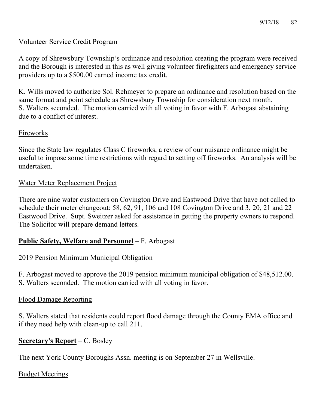#### Volunteer Service Credit Program

A copy of Shrewsbury Township's ordinance and resolution creating the program were received and the Borough is interested in this as well giving volunteer firefighters and emergency service providers up to a \$500.00 earned income tax credit.

K. Wills moved to authorize Sol. Rehmeyer to prepare an ordinance and resolution based on the same format and point schedule as Shrewsbury Township for consideration next month. S. Walters seconded. The motion carried with all voting in favor with F. Arbogast abstaining due to a conflict of interest.

#### Fireworks

Since the State law regulates Class C fireworks, a review of our nuisance ordinance might be useful to impose some time restrictions with regard to setting off fireworks. An analysis will be undertaken.

#### Water Meter Replacement Project

There are nine water customers on Covington Drive and Eastwood Drive that have not called to schedule their meter changeout: 58, 62, 91, 106 and 108 Covington Drive and 3, 20, 21 and 22 Eastwood Drive. Supt. Sweitzer asked for assistance in getting the property owners to respond. The Solicitor will prepare demand letters.

#### **Public Safety, Welfare and Personnel** – F. Arbogast

#### 2019 Pension Minimum Municipal Obligation

F. Arbogast moved to approve the 2019 pension minimum municipal obligation of \$48,512.00. S. Walters seconded. The motion carried with all voting in favor.

#### Flood Damage Reporting

S. Walters stated that residents could report flood damage through the County EMA office and if they need help with clean-up to call 211.

# **Secretary's Report** – C. Bosley

The next York County Boroughs Assn. meeting is on September 27 in Wellsville.

#### Budget Meetings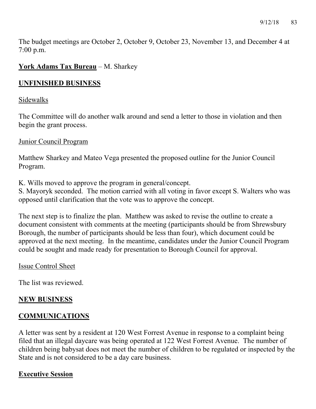The budget meetings are October 2, October 9, October 23, November 13, and December 4 at 7:00 p.m.

### **York Adams Tax Bureau** – M. Sharkey

#### **UNFINISHED BUSINESS**

#### Sidewalks

The Committee will do another walk around and send a letter to those in violation and then begin the grant process.

#### Junior Council Program

Matthew Sharkey and Mateo Vega presented the proposed outline for the Junior Council Program.

K. Wills moved to approve the program in general/concept.

S. Mayoryk seconded. The motion carried with all voting in favor except S. Walters who was opposed until clarification that the vote was to approve the concept.

The next step is to finalize the plan. Matthew was asked to revise the outline to create a document consistent with comments at the meeting (participants should be from Shrewsbury Borough, the number of participants should be less than four), which document could be approved at the next meeting. In the meantime, candidates under the Junior Council Program could be sought and made ready for presentation to Borough Council for approval.

#### Issue Control Sheet

The list was reviewed.

#### **NEW BUSINESS**

#### **COMMUNICATIONS**

A letter was sent by a resident at 120 West Forrest Avenue in response to a complaint being filed that an illegal daycare was being operated at 122 West Forrest Avenue. The number of children being babysat does not meet the number of children to be regulated or inspected by the State and is not considered to be a day care business.

#### **Executive Session**